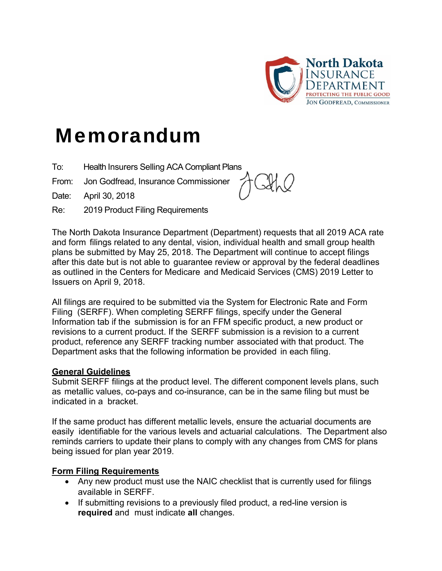

# Memorandum

- To: Health Insurers Selling ACA Compliant Plans
- From: Jon Godfread, Insurance Commissioner

Date: April 30, 2018

Re: 2019 Product Filing Requirements



The North Dakota Insurance Department (Department) requests that all 2019 ACA rate and form filings related to any dental, vision, individual health and small group health plans be submitted by May 25, 2018. The Department will continue to accept filings after this date but is not able to guarantee review or approval by the federal deadlines as outlined in the Centers for Medicare and Medicaid Services (CMS) 2019 Letter to Issuers on April 9, 2018.

All filings are required to be submitted via the System for Electronic Rate and Form Filing (SERFF). When completing SERFF filings, specify under the General Information tab if the submission is for an FFM specific product, a new product or revisions to a current product. If the SERFF submission is a revision to a current product, reference any SERFF tracking number associated with that product. The Department asks that the following information be provided in each filing.

#### **General Guidelines**

Submit SERFF filings at the product level. The different component levels plans, such as metallic values, co-pays and co-insurance, can be in the same filing but must be indicated in a bracket.

If the same product has different metallic levels, ensure the actuarial documents are easily identifiable for the various levels and actuarial calculations. The Department also reminds carriers to update their plans to comply with any changes from CMS for plans being issued for plan year 2019.

# **Form Filing Requirements**

- Any new product must use the NAIC checklist that is currently used for filings available in SERFF.
- If submitting revisions to a previously filed product, a red-line version is **required** and must indicate **all** changes.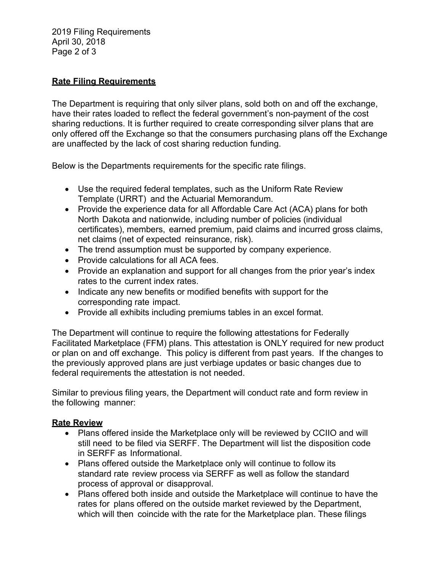2019 Filing Requirements April 30, 2018 Page 2 of 3

### **Rate Filing Requirements**

The Department is requiring that only silver plans, sold both on and off the exchange, have their rates loaded to reflect the federal government's non-payment of the cost sharing reductions. It is further required to create corresponding silver plans that are only offered off the Exchange so that the consumers purchasing plans off the Exchange are unaffected by the lack of cost sharing reduction funding.

Below is the Departments requirements for the specific rate filings.

- Use the required federal templates, such as the Uniform Rate Review Template (URRT) and the Actuarial Memorandum.
- Provide the experience data for all Affordable Care Act (ACA) plans for both North Dakota and nationwide, including number of policies (individual certificates), members, earned premium, paid claims and incurred gross claims, net claims (net of expected reinsurance, risk).
- The trend assumption must be supported by company experience.
- Provide calculations for all ACA fees.
- Provide an explanation and support for all changes from the prior year's index rates to the current index rates.
- Indicate any new benefits or modified benefits with support for the corresponding rate impact.
- Provide all exhibits including premiums tables in an excel format.

The Department will continue to require the following attestations for Federally Facilitated Marketplace (FFM) plans. This attestation is ONLY required for new product or plan on and off exchange. This policy is different from past years. If the changes to the previously approved plans are just verbiage updates or basic changes due to federal requirements the attestation is not needed.

Similar to previous filing years, the Department will conduct rate and form review in the following manner:

#### **Rate Review**

- Plans offered inside the Marketplace only will be reviewed by CCIIO and will still need to be filed via SERFF. The Department will list the disposition code in SERFF as Informational.
- Plans offered outside the Marketplace only will continue to follow its standard rate review process via SERFF as well as follow the standard process of approval or disapproval.
- Plans offered both inside and outside the Marketplace will continue to have the rates for plans offered on the outside market reviewed by the Department, which will then coincide with the rate for the Marketplace plan. These filings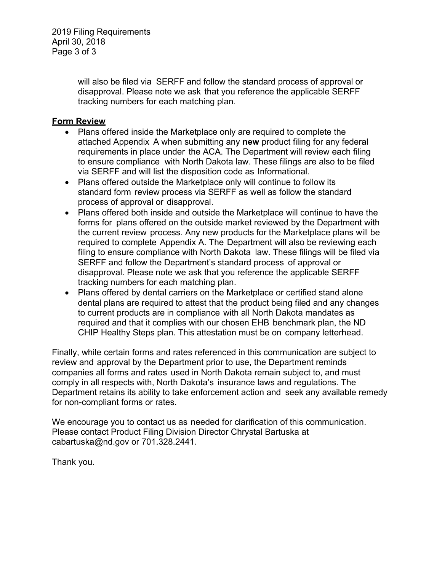2019 Filing Requirements April 30, 2018 Page 3 of 3

> will also be filed via SERFF and follow the standard process of approval or disapproval. Please note we ask that you reference the applicable SERFF tracking numbers for each matching plan.

#### **Form Review**

- Plans offered inside the Marketplace only are required to complete the attached Appendix A when submitting any **new** product filing for any federal requirements in place under the ACA. The Department will review each filing to ensure compliance with North Dakota law. These filings are also to be filed via SERFF and will list the disposition code as Informational.
- Plans offered outside the Marketplace only will continue to follow its standard form review process via SERFF as well as follow the standard process of approval or disapproval.
- Plans offered both inside and outside the Marketplace will continue to have the forms for plans offered on the outside market reviewed by the Department with the current review process. Any new products for the Marketplace plans will be required to complete Appendix A. The Department will also be reviewing each filing to ensure compliance with North Dakota law. These filings will be filed via SERFF and follow the Department's standard process of approval or disapproval. Please note we ask that you reference the applicable SERFF tracking numbers for each matching plan.
- Plans offered by dental carriers on the Marketplace or certified stand alone dental plans are required to attest that the product being filed and any changes to current products are in compliance with all North Dakota mandates as required and that it complies with our chosen EHB benchmark plan, the ND CHIP Healthy Steps plan. This attestation must be on company letterhead.

Finally, while certain forms and rates referenced in this communication are subject to review and approval by the Department prior to use, the Department reminds companies all forms and rates used in North Dakota remain subject to, and must comply in all respects with, North Dakota's insurance laws and regulations. The Department retains its ability to take enforcement action and seek any available remedy for non-compliant forms or rates.

We encourage you to contact us as needed for clarification of this communication. Please contact Product Filing Division Director Chrystal Bartuska at cabartuska@nd.gov or 701.328.2441.

Thank you.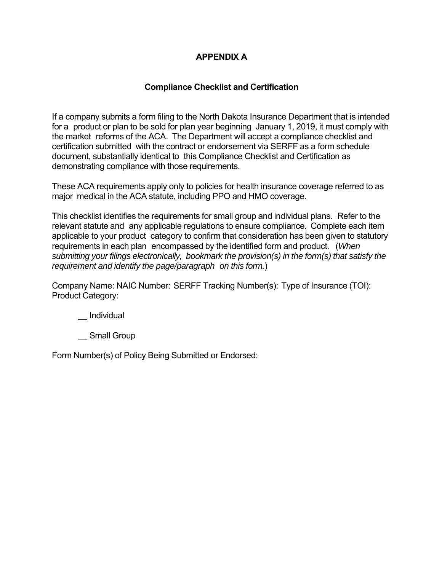# **APPENDIX A**

# **Compliance Checklist and Certification**

If a company submits a form filing to the North Dakota Insurance Department that is intended for a product or plan to be sold for plan year beginning January 1, 2019, it must comply with the market reforms of the ACA. The Department will accept a compliance checklist and certification submitted with the contract or endorsement via SERFF as a form schedule document, substantially identical to this Compliance Checklist and Certification as demonstrating compliance with those requirements.

These ACA requirements apply only to policies for health insurance coverage referred to as major medical in the ACA statute, including PPO and HMO coverage.

This checklist identifies the requirements for small group and individual plans. Refer to the relevant statute and any applicable regulations to ensure compliance. Complete each item applicable to your product category to confirm that consideration has been given to statutory requirements in each plan encompassed by the identified form and product. (*When submitting your filings electronically, bookmark the provision(s) in the form(s) that satisfy the requirement and identify the page/paragraph on this form.*)

Company Name: NAIC Number: SERFF Tracking Number(s): Type of Insurance (TOI): Product Category:

\_\_ Individual

Small Group

Form Number(s) of Policy Being Submitted or Endorsed: